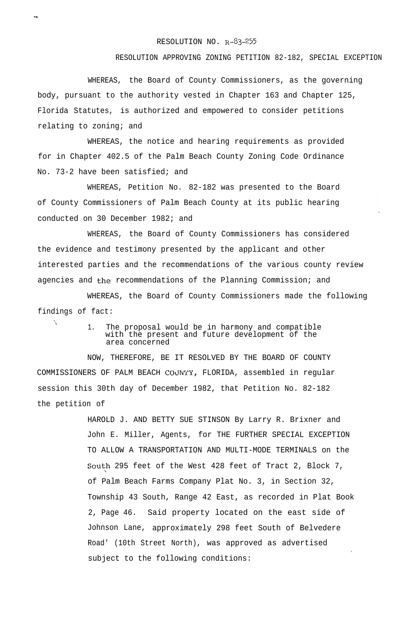## RESOLUTION NO. R-83-255

## RESOLUTION APPROVING ZONING PETITION 82-182, SPECIAL EXCEPTION

WHEREAS, the Board of County Commissioners, as the governing body, pursuant to the authority vested in Chapter 163 and Chapter 125, Florida Statutes, is authorized and empowered to consider petitions relating to zoning; and

WHEREAS, the notice and hearing requirements as provided for in Chapter 402.5 of the Palm Beach County Zoning Code Ordinance No. 73-2 have been satisfied; and

WHEREAS, Petition No. 82-182 was presented to the Board of County Commissioners of Palm Beach County at its public hearing conducted on 30 December 1982; and

WHEREAS, the Board of County Commissioners has considered the evidence and testimony presented by the applicant and other interested parties and the recommendations of the various county review agencies and the recommendations of the Planning Commission; and

WHEREAS, the Board of County Commissioners made the following findings of fact:

'i

1. The proposal would be in harmony and compatible with the present and future development of the area concerned

NOW, THEREFORE, BE IT RESOLVED BY THE BOARD OF COUNTY COMMISSIONERS OF PALM BEACH COUNTY, FLORIDA, assembled in regular session this 30th day of December 1982, that Petition No. 82-182 the petition of

> HAROLD J. AND BETTY SUE STINSON By Larry R. Brixner and John E. Miller, Agents, for THE FURTHER SPECIAL EXCEPTION TO ALLOW A TRANSPORTATION AND MULTI-MODE TERMINALS on the South 295 feet of the West 428 feet of Tract 2, Block 7, of Palm Beach Farms Company Plat No. 3, in Section 32, Township 43 South, Range 42 East, as recorded in Plat Book 2, Page 46. Said property located on the east side of Johnson Lane, approximately 298 feet South of Belvedere Road' (10th Street North), was approved as advertised . subject to the following conditions:

. .